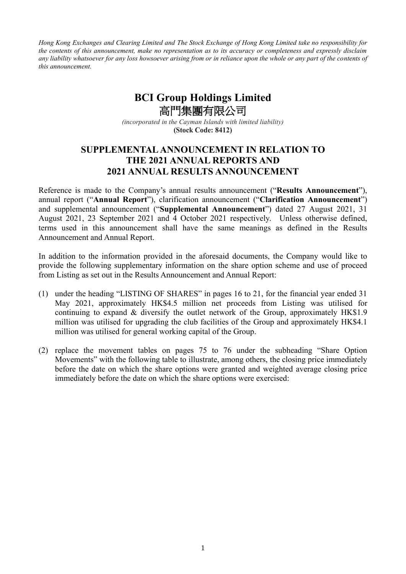*Hong Kong Exchanges and Clearing Limited and The Stock Exchange of Hong Kong Limited take no responsibility for the contents of this announcement, make no representation as to its accuracy or completeness and expressly disclaim any liability whatsoever for any loss howsoever arising from or in reliance upon the whole or any part of the contents of this announcement.*

## **BCI Group Holdings Limited** 高門集團有限公司

*(incorporated in the Cayman Islands with limited liability)* **(Stock Code: 8412)**

## **SUPPLEMENTAL ANNOUNCEMENT IN RELATION TO THE 2021 ANNUAL REPORTS AND 2021 ANNUAL RESULTS ANNOUNCEMENT**

Reference is made to the Company's annual results announcement ("**Results Announcement**"), annual report ("**Annual Report**"), clarification announcement ("**Clarification Announcement**") and supplemental announcement ("**Supplemental Announcement**") dated 27 August 2021, 31 August 2021, 23 September 2021 and 4 October 2021 respectively. Unless otherwise defined, terms used in this announcement shall have the same meanings as defined in the Results Announcement and Annual Report.

In addition to the information provided in the aforesaid documents, the Company would like to provide the following supplementary information on the share option scheme and use of proceed from Listing as set out in the Results Announcement and Annual Report:

- (1) under the heading "LISTING OF SHARES" in pages 16 to 21, for the financial year ended 31 May 2021, approximately HK\$4.5 million net proceeds from Listing was utilised for continuing to expand & diversify the outlet network of the Group, approximately HK\$1.9 million was utilised for upgrading the club facilities of the Group and approximately HK\$4.1 million was utilised for general working capital of the Group.
- (2) replace the movement tables on pages 75 to 76 under the subheading "Share Option Movements" with the following table to illustrate, among others, the closing price immediately before the date on which the share options were granted and weighted average closing price immediately before the date on which the share options were exercised: